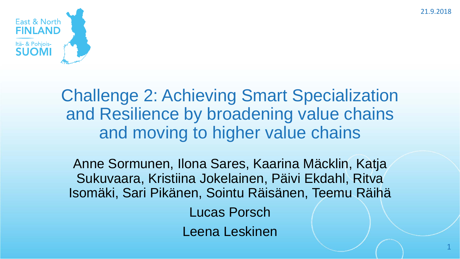21.9.2018



Challenge 2: Achieving Smart Specialization and Resilience by broadening value chains and moving to higher value chains

Anne Sormunen, Ilona Sares, Kaarina Mäcklin, Katja Sukuvaara, Kristiina Jokelainen, Päivi Ekdahl, Ritva Isomäki, Sari Pikänen, Sointu Räisänen, Teemu Räihä Lucas Porsch Leena Leskinen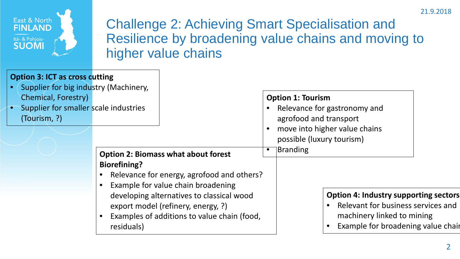



Challenge 2: Achieving Smart Specialisation and Resilience by broadening value chains and moving to higher value chains

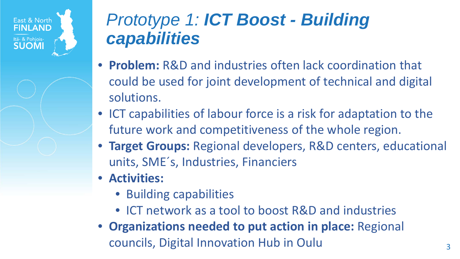

## *Prototype 1: ICT Boost - Building capabilities*

- **Problem:** R&D and industries often lack coordination that could be used for joint development of technical and digital solutions.
- ICT capabilities of labour force is a risk for adaptation to the future work and competitiveness of the whole region.
- **Target Groups:** Regional developers, R&D centers, educational units, SME´s, Industries, Financiers
- **Activities:** 
	- Building capabilities
	- ICT network as a tool to boost R&D and industries
- **Organizations needed to put action in place:** Regional councils, Digital Innovation Hub in Oulu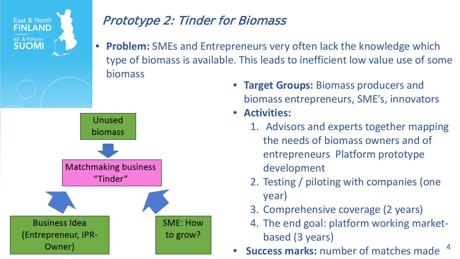

- **Target Groups:** Biomass producers and biomass entrepreneurs, SME's, innovators
- **Activities:**
	- 1. Advisors and experts together mapping the needs of biomass owners and of entrepreneurs Platform prototype development
	- 2. Testing / piloting with companies (one year)
	- 3. Comprehensive coverage (2 years)
	- 4. The end goal: platform working marketbased (3 years)
- 4 • **Success marks:** number of matches made